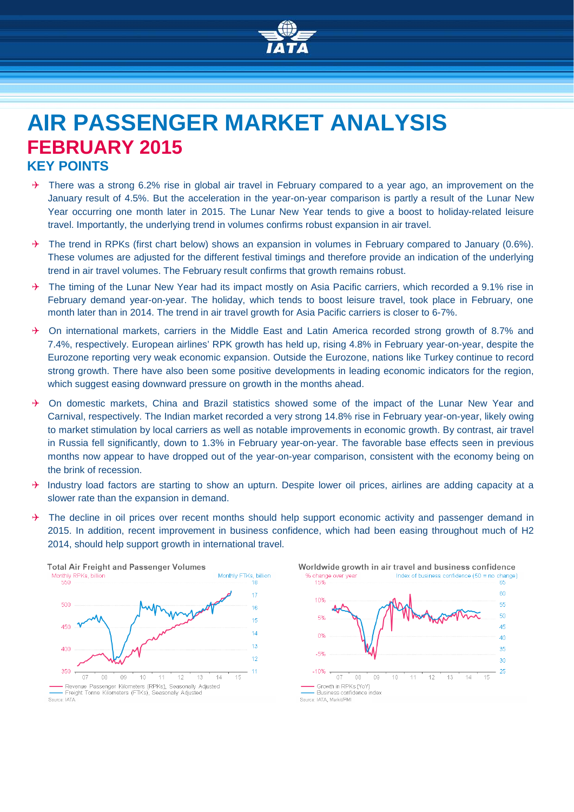

# **AIR PASSENGER MARKET ANALYSIS FEBRUARY 2015 KEY POINTS**

- There was a strong 6.2% rise in global air travel in February compared to a year ago, an improvement on the January result of 4.5%. But the acceleration in the year-on-year comparison is partly a result of the Lunar New Year occurring one month later in 2015. The Lunar New Year tends to give a boost to holiday-related leisure travel. Importantly, the underlying trend in volumes confirms robust expansion in air travel.
- $\rightarrow$  The trend in RPKs (first chart below) shows an expansion in volumes in February compared to January (0.6%). These volumes are adjusted for the different festival timings and therefore provide an indication of the underlying trend in air travel volumes. The February result confirms that growth remains robust.
- $\rightarrow$  The timing of the Lunar New Year had its impact mostly on Asia Pacific carriers, which recorded a 9.1% rise in February demand year-on-year. The holiday, which tends to boost leisure travel, took place in February, one month later than in 2014. The trend in air travel growth for Asia Pacific carriers is closer to 6-7%.
- $\rightarrow$  On international markets, carriers in the Middle East and Latin America recorded strong growth of 8.7% and 7.4%, respectively. European airlines' RPK growth has held up, rising 4.8% in February year-on-year, despite the Eurozone reporting very weak economic expansion. Outside the Eurozone, nations like Turkey continue to record strong growth. There have also been some positive developments in leading economic indicators for the region, which suggest easing downward pressure on growth in the months ahead.
- $\rightarrow$  On domestic markets, China and Brazil statistics showed some of the impact of the Lunar New Year and Carnival, respectively. The Indian market recorded a very strong 14.8% rise in February year-on-year, likely owing to market stimulation by local carriers as well as notable improvements in economic growth. By contrast, air travel in Russia fell significantly, down to 1.3% in February year-on-year. The favorable base effects seen in previous months now appear to have dropped out of the year-on-year comparison, consistent with the economy being on the brink of recession.
- $\rightarrow$  Industry load factors are starting to show an upturn. Despite lower oil prices, airlines are adding capacity at a slower rate than the expansion in demand.
- $\rightarrow$  The decline in oil prices over recent months should help support economic activity and passenger demand in 2015. In addition, recent improvement in business confidence, which had been easing throughout much of H2 2014, should help support growth in international travel.



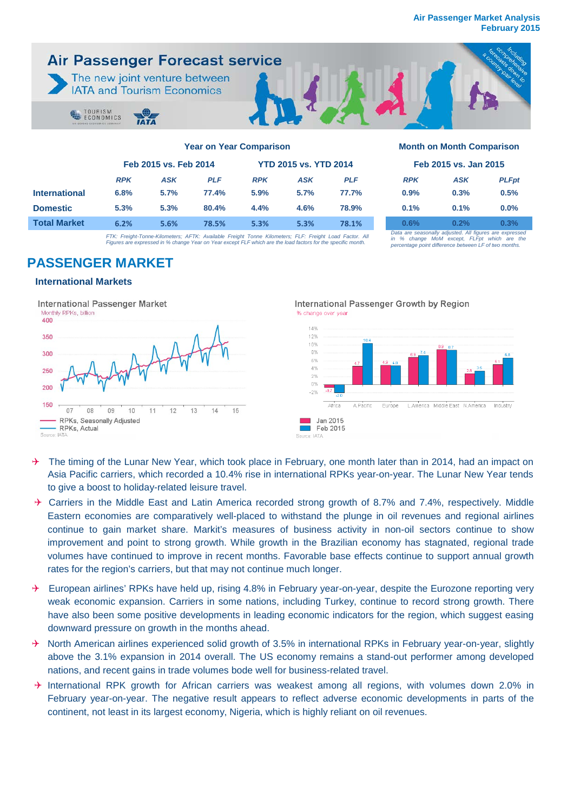

|                      | Feb 2015 vs. Feb 2014 |            | <b>YTD 2015 vs. YTD 2014</b> |            |            | Feb 2015 vs. Jan 2015 |            |                                                       |              |
|----------------------|-----------------------|------------|------------------------------|------------|------------|-----------------------|------------|-------------------------------------------------------|--------------|
|                      | <b>RPK</b>            | <b>ASK</b> | <b>PLF</b>                   | <b>RPK</b> | <b>ASK</b> | <b>PLF</b>            | <b>RPK</b> | <b>ASK</b>                                            | <b>PLFpi</b> |
| <b>International</b> | 6.8%                  | 5.7%       | 77.4%                        | 5.9%       | 5.7%       | 77.7%                 | 0.9%       | 0.3%                                                  | 0.5%         |
| <b>Domestic</b>      | 5.3%                  | 5.3%       | 80.4%                        | 4.4%       | 4.6%       | 78.9%                 | 0.1%       | 0.1%                                                  | 0.0%         |
| <b>Total Market</b>  | 6.2%                  | 5.6%       | 78.5%                        | 5.3%       | 5.3%       | 78.1%                 | 0.6%       | 0.2%                                                  | 0.3%         |
|                      |                       |            |                              |            |            |                       |            | Data are seasonally adjusted. All figures are expres- |              |

FTK: Freight-Tonne-Kilometers; AFTK: Available Freight Tonne Kilometers; FLF: Freight Load Factor. All<br>Figures are expressed in % change Year on Year except FLF which are the load factors for the specific month.

| Feb 2015 vs. Jan 2015                                   |            |              |  |  |  |  |
|---------------------------------------------------------|------------|--------------|--|--|--|--|
| <b>RPK</b>                                              | <b>ASK</b> | <b>PLFpt</b> |  |  |  |  |
| 0.9%                                                    | 0.3%       | 0.5%         |  |  |  |  |
| 0.1%                                                    | 0.1%       | $0.0\%$      |  |  |  |  |
| 0.6%                                                    | 0.2%       | 0.3%         |  |  |  |  |
| Data are seasonally adjusted. All figures are expressed |            |              |  |  |  |  |

*Data are seasonally adjusted. All figures are expressed in % change MoM except, FLFpt which are the percentage point difference between LF of two months.*

## **PASSENGER MARKET**

## **International Markets**



- $\rightarrow$  The timing of the Lunar New Year, which took place in February, one month later than in 2014, had an impact on Asia Pacific carriers, which recorded a 10.4% rise in international RPKs year-on-year. The Lunar New Year tends to give a boost to holiday-related leisure travel.
- $\rightarrow$  Carriers in the Middle East and Latin America recorded strong growth of 8.7% and 7.4%, respectively. Middle Eastern economies are comparatively well-placed to withstand the plunge in oil revenues and regional airlines continue to gain market share. Markit's measures of business activity in non-oil sectors continue to show improvement and point to strong growth. While growth in the Brazilian economy has stagnated, regional trade volumes have continued to improve in recent months. Favorable base effects continue to support annual growth rates for the region's carriers, but that may not continue much longer.
- $\rightarrow$  European airlines' RPKs have held up, rising 4.8% in February year-on-year, despite the Eurozone reporting very weak economic expansion. Carriers in some nations, including Turkey, continue to record strong growth. There have also been some positive developments in leading economic indicators for the region, which suggest easing downward pressure on growth in the months ahead.
- $\rightarrow$  North American airlines experienced solid growth of 3.5% in international RPKs in February year-on-year, slightly above the 3.1% expansion in 2014 overall. The US economy remains a stand-out performer among developed nations, and recent gains in trade volumes bode well for business-related travel.
- $\rightarrow$  International RPK growth for African carriers was weakest among all regions, with volumes down 2.0% in February year-on-year. The negative result appears to reflect adverse economic developments in parts of the continent, not least in its largest economy, Nigeria, which is highly reliant on oil revenues.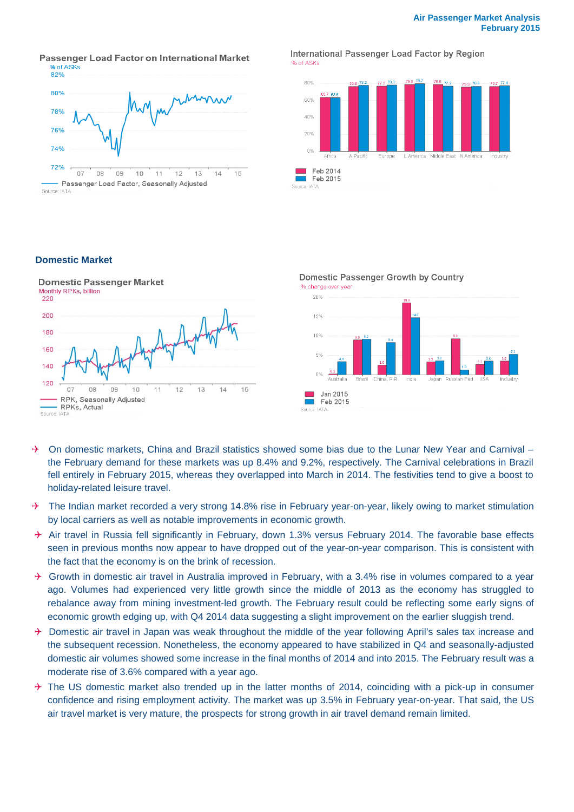Passenger Load Factor on International Market % of ASKs



International Passenger Load Factor by Region % of ASKs



## **Domestic Market**



Domestic Passenger Growth by Country % change over year



- $\rightarrow$  On domestic markets, China and Brazil statistics showed some bias due to the Lunar New Year and Carnival the February demand for these markets was up 8.4% and 9.2%, respectively. The Carnival celebrations in Brazil fell entirely in February 2015, whereas they overlapped into March in 2014. The festivities tend to give a boost to holiday-related leisure travel.
- $\rightarrow$  The Indian market recorded a very strong 14.8% rise in February year-on-year, likely owing to market stimulation by local carriers as well as notable improvements in economic growth.
- $\rightarrow$  Air travel in Russia fell significantly in February, down 1.3% versus February 2014. The favorable base effects seen in previous months now appear to have dropped out of the year-on-year comparison. This is consistent with the fact that the economy is on the brink of recession.
- $\rightarrow$  Growth in domestic air travel in Australia improved in February, with a 3.4% rise in volumes compared to a year ago. Volumes had experienced very little growth since the middle of 2013 as the economy has struggled to rebalance away from mining investment-led growth. The February result could be reflecting some early signs of economic growth edging up, with Q4 2014 data suggesting a slight improvement on the earlier sluggish trend.
- $\rightarrow$  Domestic air travel in Japan was weak throughout the middle of the year following April's sales tax increase and the subsequent recession. Nonetheless, the economy appeared to have stabilized in Q4 and seasonally-adjusted domestic air volumes showed some increase in the final months of 2014 and into 2015. The February result was a moderate rise of 3.6% compared with a year ago.
- $\rightarrow$  The US domestic market also trended up in the latter months of 2014, coinciding with a pick-up in consumer confidence and rising employment activity. The market was up 3.5% in February year-on-year. That said, the US air travel market is very mature, the prospects for strong growth in air travel demand remain limited.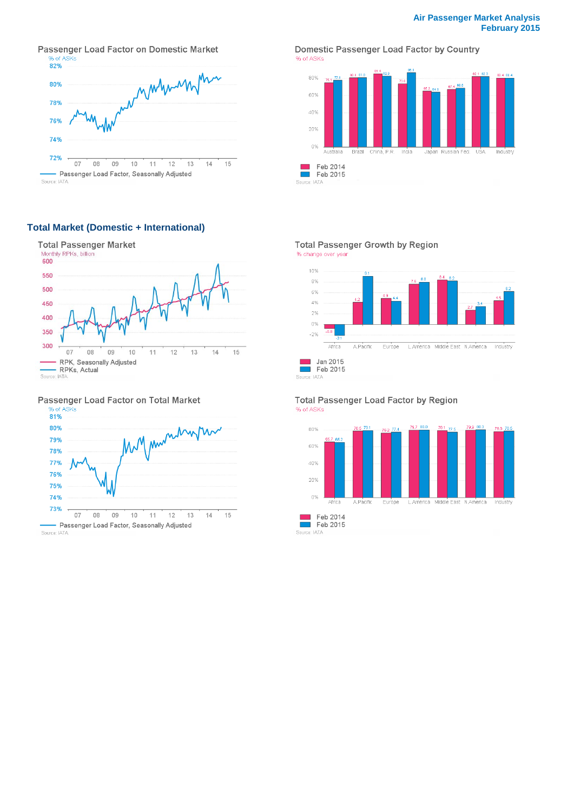Passenger Load Factor on Domestic Market % of ASKs



Source: IATA

## **Total Market (Domestic + International)**



#### Passenger Load Factor on Total Market



Source: IATA

#### Domestic Passenger Load Factor by Country % of ASKs



### Total Passenger Growth by Region





#### Total Passenger Load Factor by Region % of ASKs

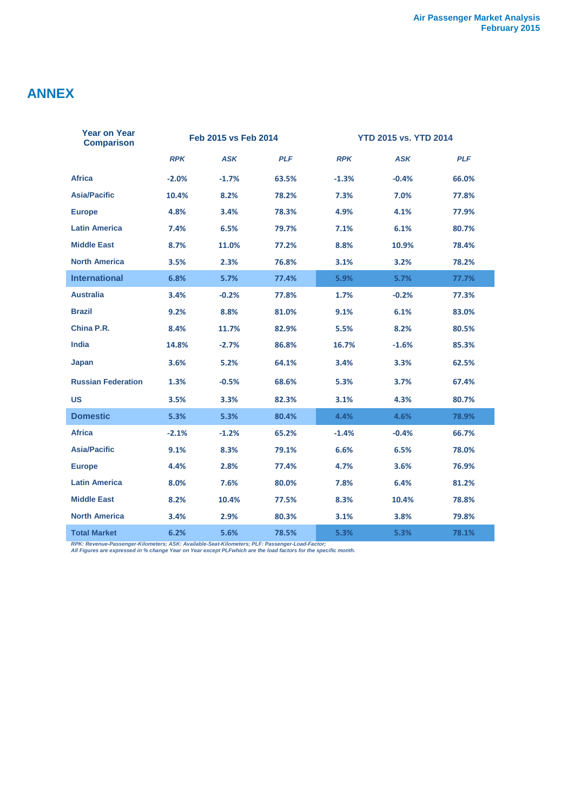## **ANNEX**

| <b>Year on Year</b><br><b>Comparison</b> | Feb 2015 vs Feb 2014 |            |            | <b>YTD 2015 vs. YTD 2014</b> |            |            |  |
|------------------------------------------|----------------------|------------|------------|------------------------------|------------|------------|--|
|                                          | <b>RPK</b>           | <b>ASK</b> | <b>PLF</b> | <b>RPK</b>                   | <b>ASK</b> | <b>PLF</b> |  |
| <b>Africa</b>                            | $-2.0%$              | $-1.7%$    | 63.5%      | $-1.3%$                      | $-0.4%$    | 66.0%      |  |
| <b>Asia/Pacific</b>                      | 10.4%                | 8.2%       | 78.2%      | 7.3%                         | 7.0%       | 77.8%      |  |
| <b>Europe</b>                            | 4.8%                 | 3.4%       | 78.3%      | 4.9%                         | 4.1%       | 77.9%      |  |
| <b>Latin America</b>                     | 7.4%                 | 6.5%       | 79.7%      | 7.1%                         | 6.1%       | 80.7%      |  |
| <b>Middle East</b>                       | 8.7%                 | 11.0%      | 77.2%      | 8.8%                         | 10.9%      | 78.4%      |  |
| <b>North America</b>                     | 3.5%                 | 2.3%       | 76.8%      | 3.1%                         | 3.2%       | 78.2%      |  |
| <b>International</b>                     | 6.8%                 | 5.7%       | 77.4%      | 5.9%                         | 5.7%       | 77.7%      |  |
| <b>Australia</b>                         | 3.4%                 | $-0.2%$    | 77.8%      | 1.7%                         | $-0.2%$    | 77.3%      |  |
| <b>Brazil</b>                            | 9.2%                 | 8.8%       | 81.0%      | 9.1%                         | 6.1%       | 83.0%      |  |
| China P.R.                               | 8.4%                 | 11.7%      | 82.9%      | 5.5%                         | 8.2%       | 80.5%      |  |
| <b>India</b>                             | 14.8%                | $-2.7%$    | 86.8%      | 16.7%                        | $-1.6%$    | 85.3%      |  |
| Japan                                    | 3.6%                 | 5.2%       | 64.1%      | 3.4%                         | 3.3%       | 62.5%      |  |
| <b>Russian Federation</b>                | 1.3%                 | $-0.5%$    | 68.6%      | 5.3%                         | 3.7%       | 67.4%      |  |
| <b>US</b>                                | 3.5%                 | 3.3%       | 82.3%      | 3.1%                         | 4.3%       | 80.7%      |  |
| <b>Domestic</b>                          | 5.3%                 | 5.3%       | 80.4%      | 4.4%                         | 4.6%       | 78.9%      |  |
| <b>Africa</b>                            | $-2.1%$              | $-1.2%$    | 65.2%      | $-1.4%$                      | $-0.4%$    | 66.7%      |  |
| <b>Asia/Pacific</b>                      | 9.1%                 | 8.3%       | 79.1%      | 6.6%                         | 6.5%       | 78.0%      |  |
| <b>Europe</b>                            | 4.4%                 | 2.8%       | 77.4%      | 4.7%                         | 3.6%       | 76.9%      |  |
| <b>Latin America</b>                     | 8.0%                 | 7.6%       | 80.0%      | 7.8%                         | 6.4%       | 81.2%      |  |
| <b>Middle East</b>                       | 8.2%                 | 10.4%      | 77.5%      | 8.3%                         | 10.4%      | 78.8%      |  |
| <b>North America</b>                     | 3.4%                 | 2.9%       | 80.3%      | 3.1%                         | 3.8%       | 79.8%      |  |
| <b>Total Market</b>                      | 6.2%                 | 5.6%       | 78.5%      | 5.3%                         | 5.3%       | 78.1%      |  |

*RPK: Revenue-Passenger-Kilometers; ASK: Available-Seat-Kilometers; PLF: Passenger-Load-Factor; All Figures are expressed in % change Year on Year except PLFwhich are the load factors for the specific month.*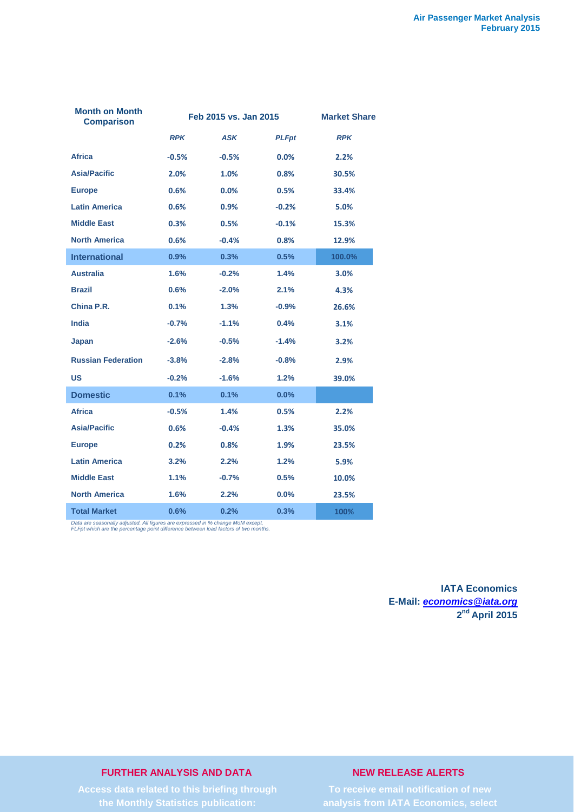| <b>Month on Month</b><br><b>Comparison</b> |            | Feb 2015 vs. Jan 2015 | <b>Market Share</b> |            |  |
|--------------------------------------------|------------|-----------------------|---------------------|------------|--|
|                                            | <b>RPK</b> | <b>ASK</b>            | <b>PLFpt</b>        | <b>RPK</b> |  |
| <b>Africa</b>                              | $-0.5%$    | $-0.5%$               | $0.0\%$             | 2.2%       |  |
| <b>Asia/Pacific</b>                        | 2.0%       | 1.0%                  | 0.8%                | 30.5%      |  |
| <b>Europe</b>                              | 0.6%       | 0.0%                  | 0.5%                | 33.4%      |  |
| <b>Latin America</b>                       | 0.6%       | 0.9%                  | $-0.2%$             | 5.0%       |  |
| <b>Middle East</b>                         | 0.3%       | 0.5%                  | $-0.1%$             | 15.3%      |  |
| <b>North America</b>                       | 0.6%       | $-0.4%$               | 0.8%                | 12.9%      |  |
| <b>International</b>                       | 0.9%       | 0.3%                  | 0.5%                | 100.0%     |  |
| <b>Australia</b>                           | 1.6%       | $-0.2%$               | 1.4%                | 3.0%       |  |
| <b>Brazil</b>                              | 0.6%       | $-2.0%$               | 2.1%                | 4.3%       |  |
| China P.R.                                 | 0.1%       | 1.3%                  | $-0.9%$             | 26.6%      |  |
| <b>India</b>                               | $-0.7%$    | $-1.1%$               | 0.4%                | 3.1%       |  |
| Japan                                      | $-2.6%$    | $-0.5%$               | $-1.4%$             | 3.2%       |  |
| <b>Russian Federation</b>                  | $-3.8%$    | $-2.8%$               | $-0.8%$             | 2.9%       |  |
| US                                         | $-0.2%$    | $-1.6%$               | 1.2%                | 39.0%      |  |
| <b>Domestic</b>                            | 0.1%       | 0.1%                  | 0.0%                |            |  |
| <b>Africa</b>                              | $-0.5%$    | 1.4%                  | 0.5%                | 2.2%       |  |
| <b>Asia/Pacific</b>                        | 0.6%       | $-0.4%$               | 1.3%                | 35.0%      |  |
| <b>Europe</b>                              | 0.2%       | 0.8%                  | 1.9%                | 23.5%      |  |
| <b>Latin America</b>                       | 3.2%       | 2.2%                  | 1.2%                | 5.9%       |  |
| <b>Middle East</b>                         | 1.1%       | $-0.7%$               | 0.5%                | 10.0%      |  |
| <b>North America</b>                       | 1.6%       | 2.2%                  | 0.0%                | 23.5%      |  |
| <b>Total Market</b>                        | 0.6%       | 0.2%                  | 0.3%                | 100%       |  |

*Data are seasonally adjusted. All figures are expressed in % change MoM except, FLFpt which are the percentage point difference between load factors of two months.*

**IATA Economics E-Mail:** *[economics@iata.org](mailto:economics@iata.org)* **2nd April 2015**

## **FURTHER ANALYSIS AND DATA**

## **NEW RELEASE ALERTS**